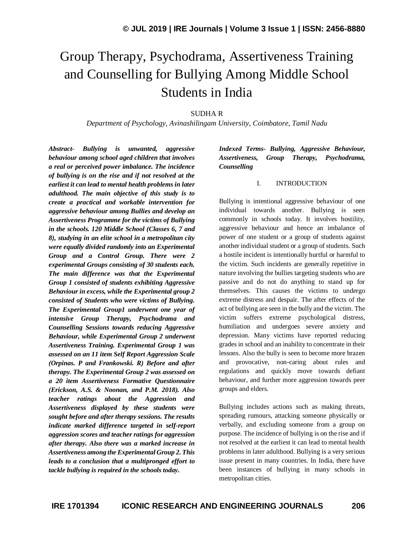# Group Therapy, Psychodrama, Assertiveness Training and Counselling for Bullying Among Middle School Students in India

## SUDHA R

*Department of Psychology, Avinashilingam University, Coimbatore, Tamil Nadu*

*Abstract- Bullying is unwanted, aggressive behaviour among school aged children that involves a real or perceived power imbalance. The incidence of bullying is on the rise and if not resolved at the earliest it can lead to mental health problems in later adulthood. The main objective of this study is to create a practical and workable intervention for aggressive behaviour among Bullies and develop an Assertiveness Programme for the victims of Bullying in the schools. 120 Middle School (Classes 6, 7 and 8), studying in an elite school in a metropolitan city were equally divided randomly into an Experimental Group and a Control Group. There were 2 experimental Groups consisting of 30 students each. The main difference was that the Experimental Group 1 consisted of students exhibiting Aggressive Behaviour in excess, while the Experimental group 2 consisted of Students who were victims of Bullying. The Experimental Group1 underwent one year of intensive Group Therapy, Psychodrama and Counselling Sessions towards reducing Aggressive Behaviour, while Experimental Group 2 underwent Assertiveness Training. Experimental Group 1 was assessed on an 11 item Self Report Aggression Scale (Orpinas. P and Frankowski. R) Before and after therapy. The Experimental Group 2 was assessed on a 20 item Assertiveness Formative Questionnaire (Erickson, A.S. & Noonan, and P.M. 2018). Also teacher ratings about the Aggression and Assertiveness displayed by these students were sought before and after therapy sessions. The results indicate marked difference targeted in self-report aggression scores and teacher ratings for aggression after therapy. Also there was a marked increase in Assertiveness among the Experimental Group 2. This leads to a conclusion that a multipronged effort to tackle bullying is required in the schools today.*

## *Indexed Terms- Bullying, Aggressive Behaviour, Assertiveness, Group Therapy, Psychodrama, Counselling*

### I. INTRODUCTION

Bullying is intentional aggressive behaviour of one individual towards another. Bullying is seen commonly in schools today. It involves hostility, aggressive behaviour and hence an imbalance of power of one student or a group of students against another individual student or a group of students. Such a hostile incident is intentionally hurtful or harmful to the victim. Such incidents are generally repetitive in nature involving the bullies targeting students who are passive and do not do anything to stand up for themselves. This causes the victims to undergo extreme distress and despair. The after effects of the act of bullying are seen in the bully and the victim. The victim suffers extreme psychological distress, humiliation and undergoes severe anxiety and depression. Many victims have reported reducing grades in school and an inability to concentrate in their lessons. Also the bully is seen to become more brazen and provocative, non-caring about rules and regulations and quickly move towards defiant behaviour, and further more aggression towards peer groups and elders.

Bullying includes actions such as making threats, spreading rumours, attacking someone physically or verbally, and excluding someone from a group on purpose. The incidence of bullying is on the rise and if not resolved at the earliest it can lead to mental health problems in later adulthood. Bullying is a very serious issue present in many countries. In India, there have been instances of bullying in many schools in metropolitan cities.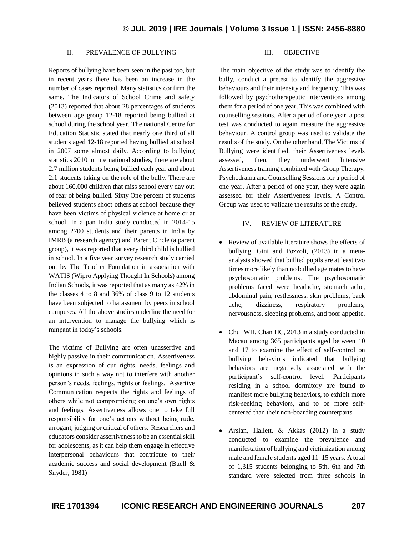## II. PREVALENCE OF BULLYING

Reports of bullying have been seen in the past too, but in recent years there has been an increase in the number of cases reported. Many statistics confirm the same. The Indicators of School Crime and safety (2013) reported that about 28 percentages of students between age group 12-18 reported being bullied at school during the school year. The national Centre for Education Statistic stated that nearly one third of all students aged 12-18 reported having bullied at school in 2007 some almost daily. According to bullying statistics 2010 in international studies, there are about 2.7 million students being bullied each year and about 2:1 students taking on the role of the bully. There are about 160,000 children that miss school every day out of fear of being bullied. Sixty One percent of students believed students shoot others at school because they have been victims of physical violence at home or at school. In a pan India study conducted in 2014-15 among 2700 students and their parents in India by IMRB (a research agency) and Parent Circle (a parent group), it was reported that every third child is bullied in school. In a five year survey research study carried out by The Teacher Foundation in association with WATIS (Wipro Applying Thought In Schools) among Indian Schools, it was reported that as many as 42% in the classes 4 to 8 and 36% of class 9 to 12 students have been subjected to harassment by peers in school campuses. All the above studies underline the need for an intervention to manage the bullying which is rampant in today's schools.

The victims of Bullying are often unassertive and highly passive in their communication. Assertiveness is an expression of our rights, needs, feelings and opinions in such a way not to interfere with another person's needs, feelings, rights or feelings. Assertive Communication respects the rights and feelings of others while not compromising on one's own rights and feelings. Assertiveness allows one to take full responsibility for one's actions without being rude, arrogant, judging or critical of others. Researchers and educators consider assertiveness to be an essential skill for adolescents, as it can help them engage in effective interpersonal behaviours that contribute to their academic success and social development (Buell & Snyder, 1981)

## III. OBJECTIVE

The main objective of the study was to identify the bully, conduct a pretest to identify the aggressive behaviours and their intensity and frequency. This was followed by psychotherapeutic interventions among them for a period of one year. This was combined with counselling sessions. After a period of one year, a post test was conducted to again measure the aggressive behaviour. A control group was used to validate the results of the study. On the other hand, The Victims of Bullying were identified, their Assertiveness levels assessed, then, they underwent Intensive Assertiveness training combined with Group Therapy, Psychodrama and Counselling Sessions for a period of one year. After a period of one year, they were again assessed for their Assertiveness levels. A Control Group was used to validate the results of the study.

#### IV. REVIEW OF LITERATURE

- Review of available literature shows the effects of bullying. Gini and Pozzoli, (2013) in a metaanalysis showed that bullied pupils are at least two times more likely than no bullied age mates to have psychosomatic problems. The psychosomatic problems faced were headache, stomach ache, abdominal pain, restlessness, skin problems, back ache, dizziness, respiratory problems, nervousness, sleeping problems, and poor appetite.
- Chui WH, Chan HC, 2013 in a study conducted in Macau among 365 participants aged between 10 and 17 to examine the effect of self-control on bullying behaviors indicated that bullying behaviors are negatively associated with the participant's self-control level. Participants residing in a school dormitory are found to manifest more bullying behaviors, to exhibit more risk-seeking behaviors, and to be more selfcentered than their non-boarding counterparts.
- Arslan, Hallett, & Akkas (2012) in a study conducted to examine the prevalence and manifestation of bullying and victimization among male and female students aged 11–15 years. A total of 1,315 students belonging to 5th, 6th and 7th standard were selected from three schools in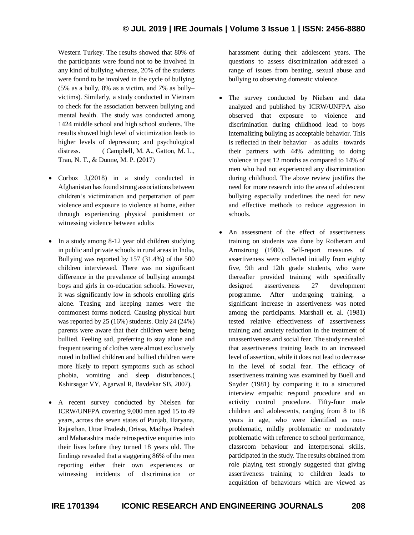Western Turkey. The results showed that 80% of the participants were found not to be involved in any kind of bullying whereas, 20% of the students were found to be involved in the cycle of bullying (5% as a bully, 8% as a victim, and 7% as bully– victims). Similarly, a study conducted in Vietnam to check for the association between bullying and mental health. The study was conducted among 1424 middle school and high school students. The results showed high level of victimization leads to higher levels of depression; and psychological distress. (Campbell, M. A., Gatton, M. L., Tran, N. T., & Dunne, M. P. (2017)

- Corboz J,(2018) in a study conducted in Afghanistan has found strong associations between children's victimization and perpetration of peer violence and exposure to violence at home, either through experiencing physical punishment or witnessing violence between adults
- In a study among 8-12 year old children studying in public and private schools in rural areas in India, Bullying was reported by 157 (31.4%) of the 500 children interviewed. There was no significant difference in the prevalence of bullying amongst boys and girls in co-education schools. However, it was significantly low in schools enrolling girls alone. Teasing and keeping names were the commonest forms noticed. Causing physical hurt was reported by 25 (16%) students. Only 24 (24%) parents were aware that their children were being bullied. Feeling sad, preferring to stay alone and frequent tearing of clothes were almost exclusively noted in bullied children and bullied children were more likely to report symptoms such as school phobia, vomiting and sleep disturbances.( Kshirsagar VY, Agarwal R, Bavdekar SB, 2007).
- A recent survey conducted by Nielsen for ICRW/UNFPA covering 9,000 men aged 15 to 49 years, across the seven states of Punjab, Haryana, Rajasthan, Uttar Pradesh, Orissa, Madhya Pradesh and Maharashtra made retrospective enquiries into their lives before they turned 18 years old. The findings revealed that a staggering 86% of the men reporting either their own experiences or witnessing incidents of discrimination or

harassment during their adolescent years. The questions to assess discrimination addressed a range of issues from beating, sexual abuse and bullying to observing domestic violence.

- The survey conducted by Nielsen and data analyzed and published by ICRW/UNFPA also observed that exposure to violence and discrimination during childhood lead to boys internalizing bullying as acceptable behavior. This is reflected in their behavior – as adults –towards their partners with 44% admitting to doing violence in past 12 months as compared to 14% of men who had not experienced any discrimination during childhood. The above review justifies the need for more research into the area of adolescent bullying especially underlines the need for new and effective methods to reduce aggression in schools.
- An assessment of the effect of assertiveness training on students was done by Rotheram and Armstrong (1980). Self-report measures of assertiveness were collected initially from eighty five, 9th and 12th grade students, who were thereafter provided training with specifically designed assertiveness 27 development programme. After undergoing training, a significant increase in assertiveness was noted among the participants. Marshall et. al. (1981) tested relative effectiveness of assertiveness training and anxiety reduction in the treatment of unassertiveness and social fear. The study revealed that assertiveness training leads to an increased level of assertion, while it does not lead to decrease in the level of social fear. The efficacy of assertiveness training was examined by Buell and Snyder (1981) by comparing it to a structured interview empathic respond procedure and an activity control procedure. Fifty-four male children and adolescents, ranging from 8 to 18 years in age, who were identified as nonproblematic, mildly problematic or moderately problematic with reference to school performance, classroom behaviour and interpersonal skills, participated in the study. The results obtained from role playing test strongly suggested that giving assertiveness training to children leads to acquisition of behaviours which are viewed as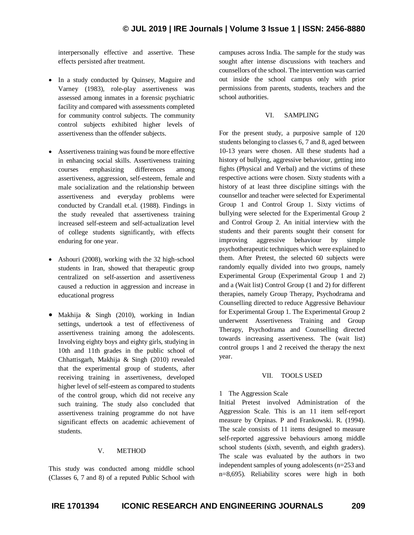interpersonally effective and assertive. These effects persisted after treatment.

- In a study conducted by Quinsey, Maguire and Varney (1983), role-play assertiveness was assessed among inmates in a forensic psychiatric facility and compared with assessments completed for community control subjects. The community control subjects exhibited higher levels of assertiveness than the offender subjects.
- Assertiveness training was found be more effective in enhancing social skills. Assertiveness training courses emphasizing differences among assertiveness, aggression, self-esteem, female and male socialization and the relationship between assertiveness and everyday problems were conducted by Crandall et.al. (1988). Findings in the study revealed that assertiveness training increased self-esteem and self-actualization level of college students significantly, with effects enduring for one year.
- Ashouri (2008), working with the 32 high-school students in Iran, showed that therapeutic group centralized on self-assertion and assertiveness caused a reduction in aggression and increase in educational progress
- Makhija & Singh (2010), working in Indian settings, undertook a test of effectiveness of assertiveness training among the adolescents. Involving eighty boys and eighty girls, studying in 10th and 11th grades in the public school of Chhattisgarh, Makhija & Singh (2010) revealed that the experimental group of students, after receiving training in assertiveness, developed higher level of self-esteem as compared to students of the control group, which did not receive any such training. The study also concluded that assertiveness training programme do not have significant effects on academic achievement of students.

## V. METHOD

This study was conducted among middle school (Classes 6, 7 and 8) of a reputed Public School with campuses across India. The sample for the study was sought after intense discussions with teachers and counsellors of the school. The intervention was carried out inside the school campus only with prior permissions from parents, students, teachers and the school authorities.

#### VI. SAMPLING

For the present study, a purposive sample of 120 students belonging to classes 6, 7 and 8, aged between 10-13 years were chosen. All these students had a history of bullying, aggressive behaviour, getting into fights (Physical and Verbal) and the victims of these respective actions were chosen. Sixty students with a history of at least three discipline sittings with the counsellor and teacher were selected for Experimental Group 1 and Control Group 1. Sixty victims of bullying were selected for the Experimental Group 2 and Control Group 2. An initial interview with the students and their parents sought their consent for improving aggressive behaviour by simple psychotherapeutic techniques which were explained to them. After Pretest, the selected 60 subjects were randomly equally divided into two groups, namely Experimental Group (Experimental Group 1 and 2) and a (Wait list) Control Group (1 and 2) for different therapies, namely Group Therapy, Psychodrama and Counselling directed to reduce Aggressive Behaviour for Experimental Group 1. The Experimental Group 2 underwent Assertiveness Training and Group Therapy, Psychodrama and Counselling directed towards increasing assertiveness. The (wait list) control groups 1 and 2 received the therapy the next year.

#### VII. TOOLS USED

## 1 The Aggression Scale

Initial Pretest involved Administration of the Aggression Scale. This is an 11 item self-report measure by Orpinas. P and Frankowski. R. (1994). The scale consists of 11 items designed to measure self-reported aggressive behaviours among middle school students (sixth, seventh, and eighth graders). The scale was evaluated by the authors in two independent samples of young adolescents (n=253 and n=8,695). Reliability scores were high in both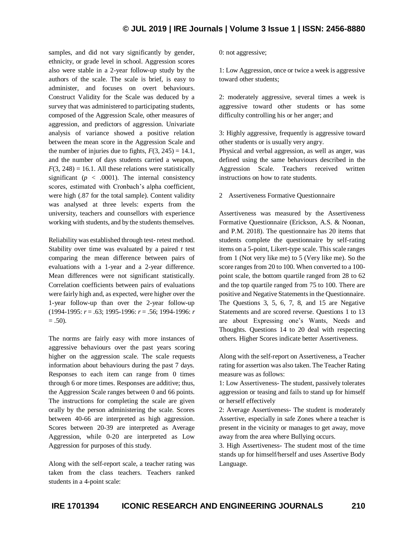samples, and did not vary significantly by gender, ethnicity, or grade level in school. Aggression scores also were stable in a 2-year follow-up study by the authors of the scale. The scale is brief, is easy to administer, and focuses on overt behaviours. Construct Validity for the Scale was deduced by a survey that was administered to participating students, composed of the Aggression Scale, other measures of aggression, and predictors of aggression. Univariate analysis of variance showed a positive relation between the mean score in the Aggression Scale and the number of injuries due to fights,  $F(3, 245) = 14.1$ , and the number of days students carried a weapon,  $F(3, 248) = 16.1$ . All these relations were statistically significant  $(p < .0001)$ . The internal consistency scores, estimated with Cronbach's alpha coefficient, were high (.87 for the total sample). Content validity was analysed at three levels: experts from the university, teachers and counsellors with experience working with students, and by the students themselves.

Reliability was established through test- retest method. Stability over time was evaluated by a paired *t* test comparing the mean difference between pairs of evaluations with a 1-year and a 2-year difference. Mean differences were not significant statistically. Correlation coefficients between pairs of evaluations were fairly high and, as expected, were higher over the 1-year follow-up than over the 2-year follow-up (1994-1995: *r* = .63; 1995-1996: *r* = .56; 1994-1996: *r*   $= .50$ ).

The norms are fairly easy with more instances of aggressive behaviours over the past years scoring higher on the aggression scale. The scale requests information about behaviours during the past 7 days. Responses to each item can range from 0 times through 6 or more times. Responses are additive; thus, the Aggression Scale ranges between 0 and 66 points. The instructions for completing the scale are given orally by the person administering the scale. Scores between 40-66 are interpreted as high aggression. Scores between 20-39 are interpreted as Average Aggression, while 0-20 are interpreted as Low Aggression for purposes of this study.

Along with the self-report scale, a teacher rating was taken from the class teachers. Teachers ranked students in a 4-point scale:

0: not aggressive;

1: Low Aggression, once or twice a week is aggressive toward other students;

2: moderately aggressive, several times a week is aggressive toward other students or has some difficulty controlling his or her anger; and

3: Highly aggressive, frequently is aggressive toward other students or is usually very angry.

Physical and verbal aggression, as well as anger, was defined using the same behaviours described in the Aggression Scale. Teachers received written instructions on how to rate students.

2 Assertiveness Formative Questionnaire

Assertiveness was measured by the Assertiveness Formative Questionnaire (Erickson, A.S. & Noonan, and P.M. 2018). The questionnaire has 20 items that students complete the questionnaire by self-rating items on a 5-point, Likert-type scale. This scale ranges from 1 (Not very like me) to 5 (Very like me). So the score ranges from 20 to 100. When converted to a 100 point scale, the bottom quartile ranged from 28 to 62 and the top quartile ranged from 75 to 100. There are positive and Negative Statements in the Questionnaire. The Questions 3, 5, 6, 7, 8, and 15 are Negative Statements and are scored reverse. Questions 1 to 13 are about Expressing one's Wants, Needs and Thoughts. Questions 14 to 20 deal with respecting others. Higher Scores indicate better Assertiveness.

Along with the self-report on Assertiveness, a Teacher rating for assertion was also taken. The Teacher Rating measure was as follows:

1: Low Assertiveness- The student, passively tolerates aggression or teasing and fails to stand up for himself or herself effectively

2: Average Assertiveness- The student is moderately Assertive, especially in safe Zones where a teacher is present in the vicinity or manages to get away, move away from the area where Bullying occurs.

3. High Assertiveness- The student most of the time stands up for himself/herself and uses Assertive Body Language.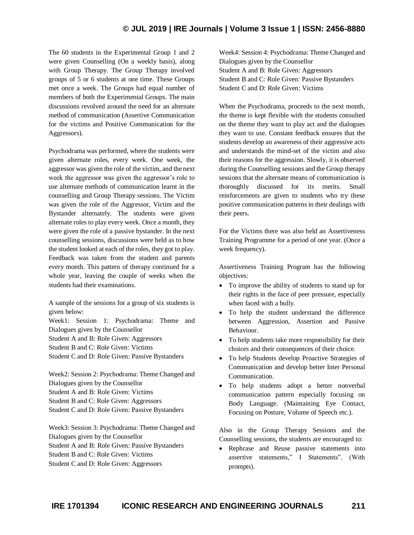The 60 students in the Experimental Group 1 and 2 were given Counselling (On a weekly basis), along with Group Therapy. The Group Therapy involved groups of 5 or 6 students at one time. These Groups met once a week. The Groups had equal number of members of both the Experimental Groups. The main discussions revolved around the need for an alternate method of communication (Assertive Communication for the victims and Positive Communication for the Aggressors).

Psychodrama was performed, where the students were given alternate roles, every week. One week, the aggressor was given the role of the victim, and the next week the aggressor was given the aggressor's role to use alternate methods of communication learnt in the counselling and Group Therapy sessions. The Victim was given the role of the Aggressor, Victim and the Bystander alternately. The students were given alternate roles to play every week. Once a month, they were given the role of a passive bystander. In the next counselling sessions, discussions were held as to how the student looked at each of the roles, they got to play. Feedback was taken from the student and parents every month. This pattern of therapy continued for a whole year, leaving the couple of weeks when the students had their examinations.

A sample of the sessions for a group of six students is given below:

Week1: Session 1: Psychodrama: Theme and Dialogues given by the Counsellor Student A and B: Role Given: Aggressors Student B and C: Role Given: Victims Student C and D: Role Given: Passive Bystanders

Week2: Session 2: Psychodrama: Theme Changed and Dialogues given by the Counsellor Student A and B: Role Given: Victims Student B and C: Role Given: Aggressors Student C and D: Role Given: Passive Bystanders

Week3: Session 3: Psychodrama: Theme Changed and Dialogues given by the Counsellor Student A and B: Role Given: Passive Bystanders Student B and C: Role Given: Victims Student C and D: Role Given: Aggressors

Week4: Session 4: Psychodrama: Theme Changed and Dialogues given by the Counsellor Student A and B: Role Given: Aggressors Student B and C: Role Given: Passive Bystanders Student C and D: Role Given: Victims

When the Psychodrama, proceeds to the next month, the theme is kept flexible with the students consulted on the theme they want to play act and the dialogues they want to use. Constant feedback ensures that the students develop an awareness of their aggressive acts and understands the mind-set of the victim and also their reasons for the aggression. Slowly, it is observed during the Counselling sessions and the Group therapy sessions that the alternate means of communication is thoroughly discussed for its merits. Small reinforcements are given to students who try these positive communication patterns in their dealings with their peers.

For the Victims there was also held an Assertiveness Training Programme for a period of one year. (Once a week frequency).

Assertiveness Training Program has the following objectives:

- To improve the ability of students to stand up for their rights in the face of peer pressure, especially when faced with a bully.
- To help the student understand the difference between Aggression, Assertion and Passive Behaviour.
- To help students take more responsibility for their choices and their consequences of their choice.
- To help Students develop Proactive Strategies of Communication and develop better Inter Personal Communication.
- To help students adopt a better nonverbal communication pattern especially focusing on Body Language. (Maintaining Eye Contact, Focusing on Posture, Volume of Speech etc.).

Also in the Group Therapy Sessions and the Counselling sessions, the students are encouraged to:

 Rephrase and Reuse passive statements into assertive statements," I Statements". (With prompts).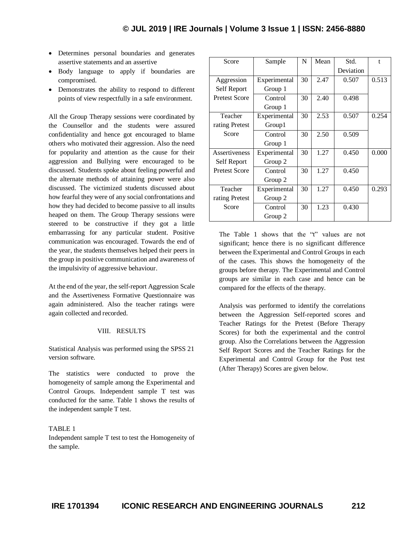- Determines personal boundaries and generates assertive statements and an assertive
- Body language to apply if boundaries are compromised.
- Demonstrates the ability to respond to different points of view respectfully in a safe environment.

All the Group Therapy sessions were coordinated by the Counsellor and the students were assured confidentiality and hence got encouraged to blame others who motivated their aggression. Also the need for popularity and attention as the cause for their aggression and Bullying were encouraged to be discussed. Students spoke about feeling powerful and the alternate methods of attaining power were also discussed. The victimized students discussed about how fearful they were of any social confrontations and how they had decided to become passive to all insults heaped on them. The Group Therapy sessions were steered to be constructive if they got a little embarrassing for any particular student. Positive communication was encouraged. Towards the end of the year, the students themselves helped their peers in the group in positive communication and awareness of the impulsivity of aggressive behaviour.

At the end of the year, the self-report Aggression Scale and the Assertiveness Formative Questionnaire was again administered. Also the teacher ratings were again collected and recorded.

### VIII. RESULTS

Statistical Analysis was performed using the SPSS 21 version software.

The statistics were conducted to prove the homogeneity of sample among the Experimental and Control Groups. Independent sample T test was conducted for the same. Table 1 shows the results of the independent sample T test.

#### TABLE 1

Independent sample T test to test the Homogeneity of the sample.

| Score                | Sample       | N  | Mean | Std.      | t     |
|----------------------|--------------|----|------|-----------|-------|
|                      |              |    |      | Deviation |       |
| Aggression           | Experimental | 30 | 2.47 | 0.507     | 0.513 |
| Self Report          | Group 1      |    |      |           |       |
| <b>Pretest Score</b> | Control      | 30 | 2.40 | 0.498     |       |
|                      | Group 1      |    |      |           |       |
| Teacher              | Experimental | 30 | 2.53 | 0.507     | 0.254 |
| rating Pretest       | Group1       |    |      |           |       |
| Score                | Control      | 30 | 2.50 | 0.509     |       |
|                      | Group 1      |    |      |           |       |
| Assertiveness        | Experimental | 30 | 1.27 | 0.450     | 0.000 |
| Self Report          | Group 2      |    |      |           |       |
| <b>Pretest Score</b> | Control      | 30 | 1.27 | 0.450     |       |
|                      | Group 2      |    |      |           |       |
| Teacher              | Experimental | 30 | 1.27 | 0.450     | 0.293 |
| rating Pretest       | Group 2      |    |      |           |       |
| Score                | Control      | 30 | 1.23 | 0.430     |       |
|                      | Group 2      |    |      |           |       |

The Table 1 shows that the "t" values are not significant; hence there is no significant difference between the Experimental and Control Groups in each of the cases. This shows the homogeneity of the groups before therapy. The Experimental and Control groups are similar in each case and hence can be compared for the effects of the therapy.

Analysis was performed to identify the correlations between the Aggression Self-reported scores and Teacher Ratings for the Pretest (Before Therapy Scores) for both the experimental and the control group. Also the Correlations between the Aggression Self Report Scores and the Teacher Ratings for the Experimental and Control Group for the Post test (After Therapy) Scores are given below.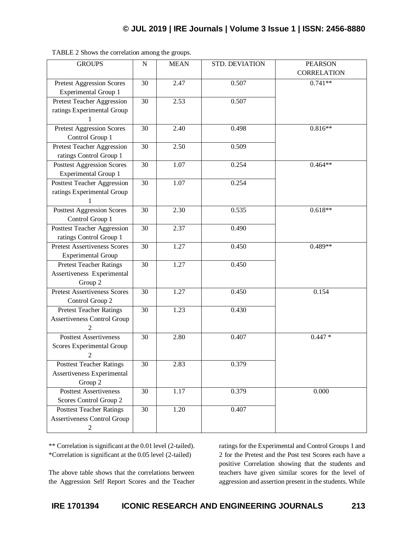| <b>GROUPS</b>                                                                           | $\mathbf N$ | <b>MEAN</b> | STD. DEVIATION | <b>PEARSON</b><br><b>CORRELATION</b> |
|-----------------------------------------------------------------------------------------|-------------|-------------|----------------|--------------------------------------|
| Pretest Aggression Scores<br><b>Experimental Group 1</b>                                | 30          | 2.47        | 0.507          | $0.741**$                            |
| <b>Pretest Teacher Aggression</b><br>ratings Experimental Group                         | 30          | 2.53        | 0.507          |                                      |
| <b>Pretest Aggression Scores</b><br>Control Group 1                                     | 30          | 2.40        | 0.498          | $0.816**$                            |
| Pretest Teacher Aggression<br>ratings Control Group 1                                   | 30          | 2.50        | 0.509          |                                      |
| <b>Posttest Aggression Scores</b><br><b>Experimental Group 1</b>                        | 30          | 1.07        | 0.254          | $0.464**$                            |
| <b>Posttest Teacher Aggression</b><br>ratings Experimental Group                        | 30          | 1.07        | 0.254          |                                      |
| <b>Posttest Aggression Scores</b><br>Control Group 1                                    | 30          | 2.30        | 0.535          | $0.618**$                            |
| Posttest Teacher Aggression<br>ratings Control Group 1                                  | 30          | 2.37        | 0.490          |                                      |
| <b>Pretest Assertiveness Scores</b><br><b>Experimental Group</b>                        | 30          | 1.27        | 0.450          | $0.489**$                            |
| <b>Pretest Teacher Ratings</b><br>Assertiveness Experimental<br>Group 2                 | 30          | 1.27        | 0.450          |                                      |
| <b>Pretest Assertiveness Scores</b><br>Control Group 2                                  | 30          | 1.27        | 0.450          | 0.154                                |
| <b>Pretest Teacher Ratings</b><br><b>Assertiveness Control Group</b><br>$\overline{2}$  | 30          | 1.23        | 0.430          |                                      |
| <b>Posttest Assertiveness</b><br><b>Scores Experimental Group</b><br>2                  | 30          | 2.80        | 0.407          | $0.447*$                             |
| <b>Posttest Teacher Ratings</b><br>Assertiveness Experimental<br>Group 2                | 30          | 2.83        | 0.379          |                                      |
| <b>Posttest Assertiveness</b><br>Scores Control Group 2                                 | 30          | 1.17        | 0.379          | 0.000                                |
| <b>Posttest Teacher Ratings</b><br><b>Assertiveness Control Group</b><br>$\overline{c}$ | 30          | 1.20        | 0.407          |                                      |

TABLE 2 Shows the correlation among the groups.

\*\* Correlation is significant at the 0.01 level (2-tailed). \*Correlation is significant at the 0.05 level (2-tailed)

The above table shows that the correlations between the Aggression Self Report Scores and the Teacher ratings for the Experimental and Control Groups 1 and 2 for the Pretest and the Post test Scores each have a positive Correlation showing that the students and teachers have given similar scores for the level of aggression and assertion present in the students. While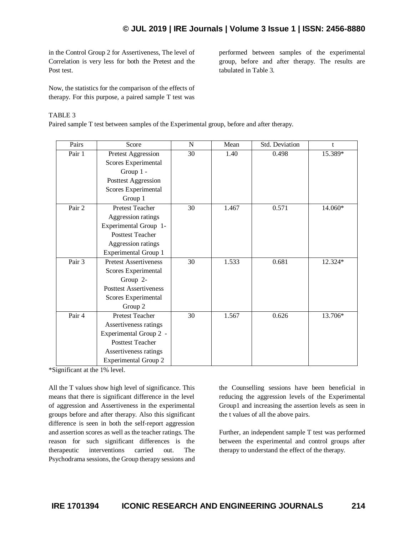in the Control Group 2 for Assertiveness, The level of Correlation is very less for both the Pretest and the Post test.

performed between samples of the experimental group, before and after therapy. The results are tabulated in Table 3.

Now, the statistics for the comparison of the effects of therapy. For this purpose, a paired sample T test was

## TABLE 3

Paired sample T test between samples of the Experimental group, before and after therapy.

| Pairs  | Score                         | N  | Mean  | Std. Deviation | t       |
|--------|-------------------------------|----|-------|----------------|---------|
| Pair 1 | <b>Pretest Aggression</b>     | 30 | 1.40  | 0.498          | 15.389* |
|        | Scores Experimental           |    |       |                |         |
|        | Group 1 -                     |    |       |                |         |
|        | Posttest Aggression           |    |       |                |         |
|        | Scores Experimental           |    |       |                |         |
|        | Group 1                       |    |       |                |         |
| Pair 2 | <b>Pretest Teacher</b>        | 30 | 1.467 | 0.571          | 14.060* |
|        | Aggression ratings            |    |       |                |         |
|        | Experimental Group 1-         |    |       |                |         |
|        | <b>Posttest Teacher</b>       |    |       |                |         |
|        | Aggression ratings            |    |       |                |         |
|        | <b>Experimental Group 1</b>   |    |       |                |         |
| Pair 3 | <b>Pretest Assertiveness</b>  | 30 | 1.533 | 0.681          | 12.324* |
|        | Scores Experimental           |    |       |                |         |
|        | Group 2-                      |    |       |                |         |
|        | <b>Posttest Assertiveness</b> |    |       |                |         |
|        | Scores Experimental           |    |       |                |         |
|        | Group 2                       |    |       |                |         |
| Pair 4 | <b>Pretest Teacher</b>        | 30 | 1.567 | 0.626          | 13.706* |
|        | Assertiveness ratings         |    |       |                |         |
|        | Experimental Group 2 -        |    |       |                |         |
|        | <b>Posttest Teacher</b>       |    |       |                |         |
|        | Assertiveness ratings         |    |       |                |         |
|        | <b>Experimental Group 2</b>   |    |       |                |         |

\*Significant at the 1% level.

All the T values show high level of significance. This means that there is significant difference in the level of aggression and Assertiveness in the experimental groups before and after therapy. Also this significant difference is seen in both the self-report aggression and assertion scores as well as the teacher ratings. The reason for such significant differences is the therapeutic interventions carried out. The Psychodrama sessions, the Group therapy sessions and

the Counselling sessions have been beneficial in reducing the aggression levels of the Experimental Group1 and increasing the assertion levels as seen in the t values of all the above pairs.

Further, an independent sample T test was performed between the experimental and control groups after therapy to understand the effect of the therapy.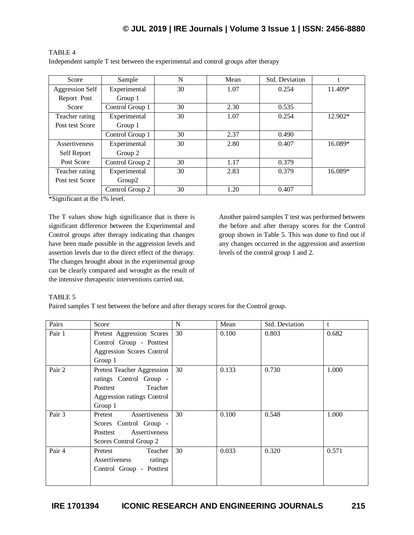| Score                  | Sample             | N  | Mean | Std. Deviation |         |
|------------------------|--------------------|----|------|----------------|---------|
| <b>Aggression Self</b> | Experimental       | 30 | 1.07 | 0.254          | 11.409* |
| Report Post            | Group 1            |    |      |                |         |
| Score                  | Control Group 1    | 30 | 2.30 | 0.535          |         |
| Teacher rating         | Experimental       | 30 | 1.07 | 0.254          | 12.902* |
| Post test Score        | Group 1            |    |      |                |         |
|                        | Control Group 1    | 30 | 2.37 | 0.490          |         |
| Assertiveness          | Experimental       | 30 | 2.80 | 0.407          | 16.089* |
| Self Report            | Group 2            |    |      |                |         |
| Post Score             | Control Group 2    | 30 | 1.17 | 0.379          |         |
| Teacher rating         | Experimental       | 30 | 2.83 | 0.379          | 16.089* |
| Post test Score        | Group <sub>2</sub> |    |      |                |         |
|                        | Control Group 2    | 30 | 1.20 | 0.407          |         |

## TABLE 4

Independent sample T test between the experimental and control groups after therapy

\*Significant at the 1% level.

The T values show high significance that is there is significant difference between the Experimental and Control groups after therapy indicating that changes have been made possible in the aggression levels and assertion levels due to the direct effect of the therapy. The changes brought about in the experimental group can be clearly compared and wrought as the result of the intensive therapeutic interventions carried out.

Another paired samples T test was performed between the before and after therapy scores for the Control group shown in Table 5. This was done to find out if any changes occurred in the aggression and assertion levels of the control group 1 and 2.

## TABLE 5

Paired samples T test between the before and after therapy scores for the Control group.

| Pairs  | Score                      | N  | Mean  | Std. Deviation | t     |
|--------|----------------------------|----|-------|----------------|-------|
| Pair 1 | Pretest Aggression Scores  | 30 | 0.100 | 0.803          | 0.682 |
|        | Control Group - Posttest   |    |       |                |       |
|        | Aggression Scores Control  |    |       |                |       |
|        | Group 1                    |    |       |                |       |
| Pair 2 | Pretest Teacher Aggression | 30 | 0.133 | 0.730          | 1.000 |
|        | ratings Control Group -    |    |       |                |       |
|        | Teacher<br>Posttest        |    |       |                |       |
|        | Aggression ratings Control |    |       |                |       |
|        | Group 1                    |    |       |                |       |
| Pair 3 | Assertiveness<br>Pretest   | 30 | 0.100 | 0.548          | 1.000 |
|        | Scores Control Group -     |    |       |                |       |
|        | Assertiveness<br>Posttest  |    |       |                |       |
|        | Scores Control Group 2     |    |       |                |       |
| Pair 4 | Pretest<br>Teacher         | 30 | 0.033 | 0.320          | 0.571 |
|        | Assertiveness<br>ratings   |    |       |                |       |
|        | Control Group - Posttest   |    |       |                |       |
|        |                            |    |       |                |       |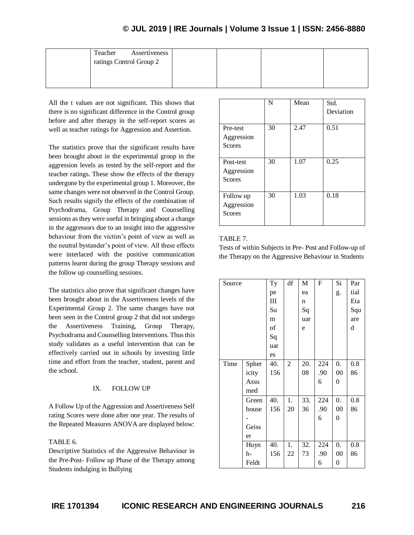| Assertiveness<br>Teacher<br>ratings Control Group 2 |  |  |
|-----------------------------------------------------|--|--|
|                                                     |  |  |

All the t values are not significant. This shows that there is no significant difference in the Control group before and after therapy in the self-report scores as well as teacher ratings for Aggression and Assertion.

The statistics prove that the significant results have been brought about in the experimental group in the aggression levels as tested by the self-report and the teacher ratings. These show the effects of the therapy undergone by the experimental group 1. Moreover, the same changes were not observed in the Control Group. Such results signify the effects of the combination of Psychodrama, Group Therapy and Counselling sessions as they were useful in bringing about a change in the aggressors due to an insight into the aggressive behaviour from the victim's point of view as well as the neutral bystander's point of view. All these effects were interlaced with the positive communication patterns learnt during the group Therapy sessions and the follow up counselling sessions.

The statistics also prove that significant changes have been brought about in the Assertiveness levels of the Experimental Group 2. The same changes have not been seen in the Control group 2 that did not undergo the Assertiveness Training, Group Therapy, Psychodrama and Counselling Interventions. Thus this study validates as a useful intervention that can be effectively carried out in schools by investing little time and effort from the teacher, student, parent and the school.

## IX. FOLLOW UP

A Follow Up of the Aggression and Assertiveness Self rating Scores were done after one year. The results of the Repeated Measures ANOVA are displayed below:

## TABLE 6.

Descriptive Statistics of the Aggressive Behaviour in the Pre-Post- Follow up Phase of the Therapy among Students indulging in Bullying

|                                          | N  | Mean | Std.<br>Deviation |
|------------------------------------------|----|------|-------------------|
| Pre-test<br>Aggression<br>Scores         | 30 | 2.47 | 0.51              |
| Post-test<br>Aggression<br><b>Scores</b> | 30 | 1.07 | 0.25              |
| Follow up<br>Aggression<br><b>Scores</b> | 30 | 1.03 | 0.18              |

## TABLE 7.

Tests of within Subjects in Pre- Post and Follow-up of the Therapy on the Aggressive Behaviour in Students

| Source |       | Ty  | df             | M   | $\mathbf F$ | Si               | Par  |
|--------|-------|-----|----------------|-----|-------------|------------------|------|
|        |       | pe  |                | ea  |             | g.               | tial |
|        |       | Ш   |                | n   |             |                  | Eta  |
|        |       | Su  |                | Sq  |             |                  | Squ  |
|        |       | m   |                | uar |             |                  | are  |
|        |       | of  |                | e   |             |                  | d    |
|        |       | Sq  |                |     |             |                  |      |
|        |       | uar |                |     |             |                  |      |
|        |       | es  |                |     |             |                  |      |
| Time   | Spher | 40. | $\overline{c}$ | 20. | 224         | $\overline{0}$ . | 0.8  |
|        | icity | 156 |                | 08  | .90         | $00\,$           | 86   |
|        | Assu  |     |                |     | 6           | 0                |      |
|        | med   |     |                |     |             |                  |      |
|        | Green | 40. | 1.             | 33. | 224         | 0.               | 0.8  |
|        | house | 156 | 20             | 36  | .90         | $00\,$           | 86   |
|        |       |     |                |     | 6           | $\boldsymbol{0}$ |      |
|        | Geiss |     |                |     |             |                  |      |
|        | er    |     |                |     |             |                  |      |
|        | Huyn  | 40. | 1.             | 32. | 224         | 0.               | 0.8  |
|        | h-    | 156 | 22             | 73  | .90         | $00\,$           | 86   |
|        | Feldt |     |                |     | 6           | 0                |      |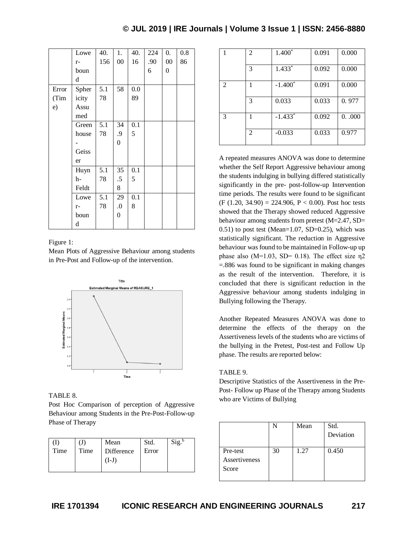|       | Lowe  | 40. | 1.               | 40. | 224 | 0.     | 0.8 |
|-------|-------|-----|------------------|-----|-----|--------|-----|
|       | $r-$  | 156 | $00\,$           | 16  | .90 | $00\,$ | 86  |
|       | boun  |     |                  |     | 6   | 0      |     |
|       | d     |     |                  |     |     |        |     |
| Error | Spher | 5.1 | 58               | 0.0 |     |        |     |
| (Tim  | icity | 78  |                  | 89  |     |        |     |
| e)    | Assu  |     |                  |     |     |        |     |
|       | med   |     |                  |     |     |        |     |
|       | Green | 5.1 | 34               | 0.1 |     |        |     |
|       | house | 78  | .9               | 5   |     |        |     |
|       |       |     | $\boldsymbol{0}$ |     |     |        |     |
|       | Geiss |     |                  |     |     |        |     |
|       | er    |     |                  |     |     |        |     |
|       | Huyn  | 5.1 | 35               | 0.1 |     |        |     |
|       | h-    | 78  | $.5\,$           | 5   |     |        |     |
|       | Feldt |     | 8                |     |     |        |     |
|       | Lowe  | 5.1 | 29               | 0.1 |     |        |     |
|       | $r-$  | 78  | $\boldsymbol{0}$ | 8   |     |        |     |
|       | boun  |     | 0                |     |     |        |     |
|       | d     |     |                  |     |     |        |     |

#### Figure 1:

Mean Plots of Aggressive Behaviour among students in Pre-Post and Follow-up of the intervention.



#### TABLE 8.

Post Hoc Comparison of perception of Aggressive Behaviour among Students in the Pre-Post-Follow-up Phase of Therapy

| Time | Time | Mean<br>Difference<br>$(1-J)$ | Std.<br>Error | Sig. <sup>b</sup> |
|------|------|-------------------------------|---------------|-------------------|
|------|------|-------------------------------|---------------|-------------------|

|                             | 2              | $1.400*$  | 0.091 | 0.000 |
|-----------------------------|----------------|-----------|-------|-------|
|                             | 3              | $1.433*$  | 0.092 | 0.000 |
| $\mathcal{D}_{\mathcal{L}}$ | 1              | $-1.400*$ | 0.091 | 0.000 |
|                             | 3              | 0.033     | 0.033 | 0.977 |
| 3                           | 1              | $-1.433*$ | 0.092 | 0.000 |
|                             | $\overline{c}$ | $-0.033$  | 0.033 | 0.977 |

A repeated measures ANOVA was done to determine whether the Self Report Aggressive behaviour among the students indulging in bullying differed statistically significantly in the pre- post-follow-up Intervention time periods. The results were found to be significant  $(F (1.20, 34.90) = 224.906, P < 0.00)$ . Post hoc tests showed that the Therapy showed reduced Aggressive behaviour among students from pretest (M=2.47, SD=  $0.51$ ) to post test (Mean=1.07, SD=0.25), which was statistically significant. The reduction in Aggressive behaviour was found to be maintained in Follow-up up phase also  $(M=1.03, SD= 0.18)$ . The effect size  $\eta$ 2 =.886 was found to be significant in making changes as the result of the intervention. Therefore, it is concluded that there is significant reduction in the Aggressive behaviour among students indulging in Bullying following the Therapy.

Another Repeated Measures ANOVA was done to determine the effects of the therapy on the Assertiveness levels of the students who are victims of the bullying in the Pretest, Post-test and Follow Up phase. The results are reported below:

#### TABLE 9.

Descriptive Statistics of the Assertiveness in the Pre-Post- Follow up Phase of the Therapy among Students who are Victims of Bullying

|                                    |    | Mean | Std.<br>Deviation |
|------------------------------------|----|------|-------------------|
| Pre-test<br>Assertiveness<br>Score | 30 | 1.27 | 0.450             |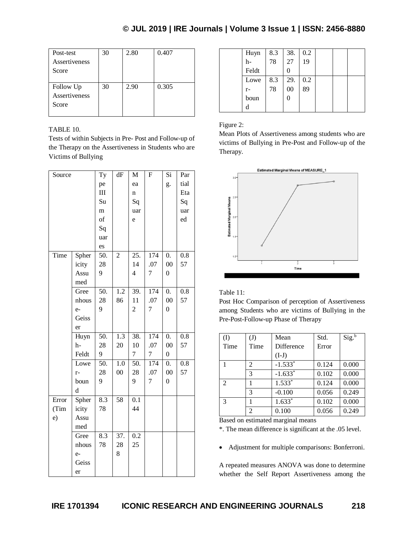| Post-test     | 30 | 2.80 | 0.407 |
|---------------|----|------|-------|
| Assertiveness |    |      |       |
| Score         |    |      |       |
|               |    |      |       |
| Follow Up     | 30 | 2.90 | 0.305 |
| Assertiveness |    |      |       |
| Score         |    |      |       |
|               |    |      |       |

## TABLE 10.

Tests of within Subjects in Pre- Post and Follow-up of the Therapy on the Assertiveness in Students who are Victims of Bullying

| Source |       | Ty     | dF               | M                       | F                | Si               | Par              |
|--------|-------|--------|------------------|-------------------------|------------------|------------------|------------------|
|        |       | pe     |                  | ea                      |                  | g.               | tial             |
|        |       | III    |                  | $\mathbf n$             |                  |                  | Eta              |
|        |       | Su     |                  | Sq                      |                  |                  | Sq               |
|        |       | m      |                  | uar                     |                  |                  | uar              |
|        |       | of     |                  | e                       |                  |                  | ed               |
|        |       | Sq     |                  |                         |                  |                  |                  |
|        |       | uar    |                  |                         |                  |                  |                  |
|        |       | es     |                  |                         |                  |                  |                  |
| Time   | Spher | $50$ . | $\overline{c}$   | $\overline{25}$ .       | $\overline{174}$ | $\overline{0}$ . | $\overline{0.8}$ |
|        | icity | 28     |                  | 14                      | .07              | 00               | 57               |
|        | Assu  | 9      |                  | $\overline{\mathbf{4}}$ | $\overline{7}$   | $\boldsymbol{0}$ |                  |
|        | med   |        |                  |                         |                  |                  |                  |
|        | Gree  | 50.    | $\overline{1.2}$ | 39.                     | $\overline{174}$ | $\overline{0}$ . | 0.8              |
|        | nhous | 28     | 86               | 11                      | .07              | 00               | 57               |
|        | $e-$  | 9      |                  | $\overline{c}$          | 7                | $\boldsymbol{0}$ |                  |
|        | Geiss |        |                  |                         |                  |                  |                  |
|        | er    |        |                  |                         |                  |                  |                  |
|        | Huyn  | 50.    | $\overline{1.3}$ | 38.                     | $\overline{174}$ | $\overline{0}$ . | $\overline{0.8}$ |
|        | $h-$  | 28     | 20               | 10                      | .07              | $00\,$           | 57               |
|        | Feldt | 9      |                  | $\overline{7}$          | $\overline{7}$   | $\boldsymbol{0}$ |                  |
|        | Lowe  | 50.    | $\overline{1.0}$ | 50.                     | 174              | 0.               | $\overline{0.8}$ |
|        | $r-$  | 28     | $00\,$           | 28                      | .07              | $00\,$           | 57               |
|        | boun  | 9      |                  | 9                       | $\overline{7}$   | $\overline{0}$   |                  |
|        | d     |        |                  |                         |                  |                  |                  |
| Error  | Spher | 8.3    | 58               | 0.1                     |                  |                  |                  |
| (Tim   | icity | 78     |                  | 44                      |                  |                  |                  |
| e)     | Assu  |        |                  |                         |                  |                  |                  |
|        | med   |        |                  |                         |                  |                  |                  |
|        | Gree  | 8.3    | 37.              | 0.2                     |                  |                  |                  |
|        | nhous | 78     | 28               | 25                      |                  |                  |                  |
|        | $e-$  |        | 8                |                         |                  |                  |                  |
|        | Geiss |        |                  |                         |                  |                  |                  |
|        | er    |        |                  |                         |                  |                  |                  |

| Huyn  | 8.3 | 38. | 0.2 |  |  |
|-------|-----|-----|-----|--|--|
| h-    | 78  | 27  | 19  |  |  |
| Feldt |     | 0   |     |  |  |
| Lowe  | 8.3 | 29. | 0.2 |  |  |
| $r-$  | 78  | 00  | 89  |  |  |
| boun  |     | 0   |     |  |  |
| d     |     |     |     |  |  |

## Figure 2:

Mean Plots of Assertiveness among students who are victims of Bullying in Pre-Post and Follow-up of the Therapy.



## Table 11:

Post Hoc Comparison of perception of Assertiveness among Students who are victims of Bullying in the Pre-Post-Follow-up Phase of Therapy

| (I)            | (J)            | Mean       | Std.  | $Sig.^{b}$ |
|----------------|----------------|------------|-------|------------|
| Time           | Time           | Difference | Error |            |
|                |                | $(I-J)$    |       |            |
|                | 2              | $-1.533*$  | 0.124 | 0.000      |
|                | 3              | $-1.633*$  | 0.102 | 0.000      |
| $\mathfrak{D}$ |                | $1.533*$   | 0.124 | 0.000      |
|                | 3              | $-0.100$   | 0.056 | 0.249      |
| $\mathcal{R}$  |                | $1.633*$   | 0.102 | 0.000      |
|                | $\overline{2}$ | 0.100      | 0.056 | 0.249      |

Based on estimated marginal means

\*. The mean difference is significant at the .05 level.

Adjustment for multiple comparisons: Bonferroni.

A repeated measures ANOVA was done to determine whether the Self Report Assertiveness among the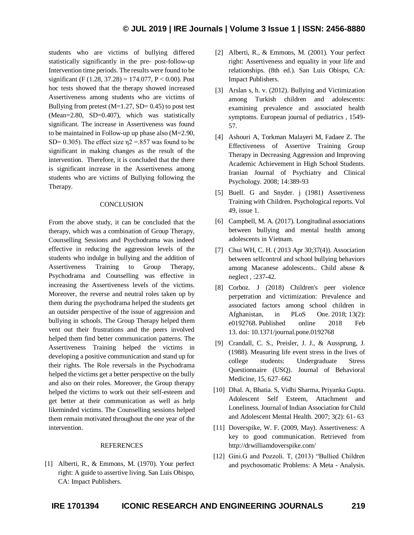students who are victims of bullying differed statistically significantly in the pre- post-follow-up Intervention time periods. The results were found to be significant (F (1.28, 37.28) = 174.077, P < 0.00). Post hoc tests showed that the therapy showed increased Assertiveness among students who are victims of Bullying from pretest  $(M=1.27, SD= 0.45)$  to post test (Mean=2.80, SD=0.407), which was statistically significant. The increase in Assertiveness was found to be maintained in Follow-up up phase also (M=2.90, SD= 0.305). The effect size  $\eta$ 2 = 857 was found to be significant in making changes as the result of the intervention. Therefore, it is concluded that the there is significant increase in the Assertiveness among students who are victims of Bullying following the Therapy.

### **CONCLUSION**

From the above study, it can be concluded that the therapy, which was a combination of Group Therapy, Counselling Sessions and Psychodrama was indeed effective in reducing the aggression levels of the students who indulge in bullying and the addition of Assertiveness Training to Group Therapy, Psychodrama and Counselling was effective in increasing the Assertiveness levels of the victims. Moreover, the reverse and neutral roles taken up by them during the psychodrama helped the students get an outsider perspective of the issue of aggression and bullying in schools. The Group Therapy helped them vent out their frustrations and the peers involved helped them find better communication patterns. The Assertiveness Training helped the victims in developing a positive communication and stand up for their rights. The Role reversals in the Psychodrama helped the victims get a better perspective on the bully and also on their roles. Moreover, the Group therapy helped the victims to work out their self-esteem and get better at their communication as well as help likeminded victims. The Counselling sessions helped them remain motivated throughout the one year of the intervention.

#### REFERENCES

[1] Alberti, R., & Emmons, M. (1970). Your perfect right: A guide to assertive living. San Luis Obispo, CA: Impact Publishers.

- [2] Alberti, R., & Emmons, M. (2001). Your perfect right: Assertiveness and equality in your life and relationships. (8th ed.). San Luis Obispo, CA: Impact Publishers.
- [3] Arslan s, h. v. (2012). Bullying and Victimization among Turkish children and adolescents: examining prevalence and associated health symptoms. European journal of pediatrics , 1549- 57.
- [4] Ashouri A, Torkman Malayeri M, Fadaee Z. The Effectiveness of Assertive Training Group Therapy in Decreasing Aggression and Improving Academic Achievement in High School Students. Iranian Journal of Psychiatry and Clinical Psychology. 2008; 14:389-93
- [5] Buell. G and Snyder. j (1981) Assertiveness Training with Children. Psychological reports. Vol 49, issue 1.
- [6] Campbell, M. A. (2017). Longitudinal associations between bullying and mental health among adolescents in Vietnam.
- [7] Chui WH, C. H. (2013 Apr 30;37(4)). Association between selfcontrol and school bullying behaviors among Macanese adolescents.. Child abuse & neglect , :237-42.
- [8] Corboz. J (2018) Children's peer violence perpetration and victimization: Prevalence and associated factors among school children in Afghanistan, in PLoS One. 2018; 13(2): e0192768. Published online 2018 Feb 13. doi: 10.1371/journal.pone.0192768
- [9] Crandall, C. S., Preisler, J. J., & Aussprung, J. (1988). Measuring life event stress in the lives of college students: Undergraduate Stress Questionnaire (USQ). Journal of Behavioral Medicine, 15, 627–662
- [10] Dhal. A, Bhatia. S, Vidhi Sharma, Priyanka Gupta. Adolescent Self Esteem, Attachment and Loneliness. Journal of Indian Association for Child and Adolescent Mental Health. 2007; 3(2): 61- 63
- [11] Doverspike, W. F. (2009, May). Assertiveness: A key to good communication. Retrieved from http://drwilliamdoverspike.com/
- [12] Gini.G and Pozzoli. T, (2013) "Bullied Children and psychosomatic Problems: A Meta - Analysis.